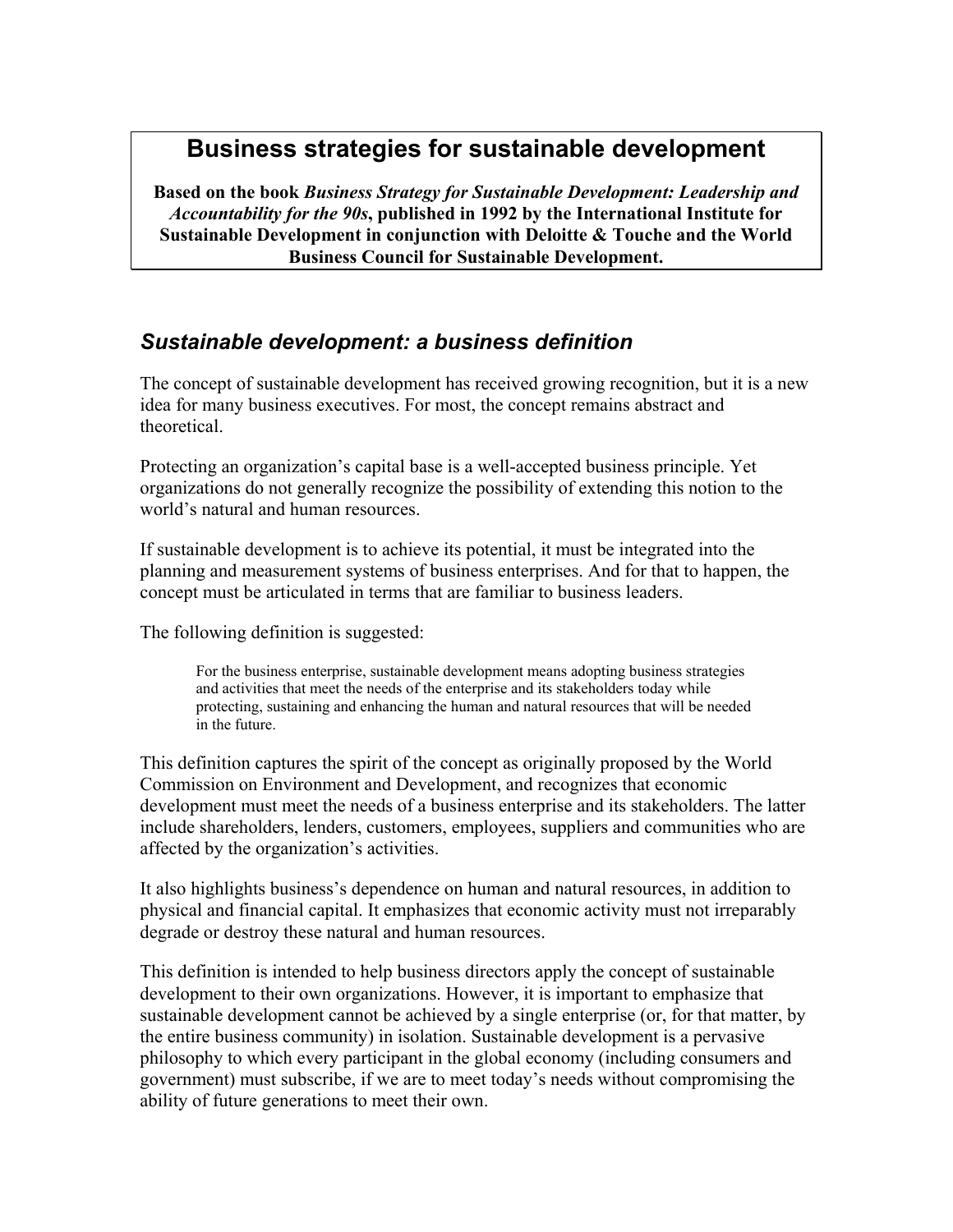# **Business strategies for sustainable development**

**Based on the book** *Business Strategy for Sustainable Development: Leadership and Accountability for the 90s***, published in 1992 by the International Institute for Sustainable Development in conjunction with Deloitte & Touche and the World Business Council for Sustainable Development.** 

## *Sustainable development: a business definition*

The concept of sustainable development has received growing recognition, but it is a new idea for many business executives. For most, the concept remains abstract and theoretical.

Protecting an organization's capital base is a well-accepted business principle. Yet organizations do not generally recognize the possibility of extending this notion to the world's natural and human resources.

If sustainable development is to achieve its potential, it must be integrated into the planning and measurement systems of business enterprises. And for that to happen, the concept must be articulated in terms that are familiar to business leaders.

The following definition is suggested:

For the business enterprise, sustainable development means adopting business strategies and activities that meet the needs of the enterprise and its stakeholders today while protecting, sustaining and enhancing the human and natural resources that will be needed in the future.

This definition captures the spirit of the concept as originally proposed by the World Commission on Environment and Development, and recognizes that economic development must meet the needs of a business enterprise and its stakeholders. The latter include shareholders, lenders, customers, employees, suppliers and communities who are affected by the organization's activities.

It also highlights business's dependence on human and natural resources, in addition to physical and financial capital. It emphasizes that economic activity must not irreparably degrade or destroy these natural and human resources.

This definition is intended to help business directors apply the concept of sustainable development to their own organizations. However, it is important to emphasize that sustainable development cannot be achieved by a single enterprise (or, for that matter, by the entire business community) in isolation. Sustainable development is a pervasive philosophy to which every participant in the global economy (including consumers and government) must subscribe, if we are to meet today's needs without compromising the ability of future generations to meet their own.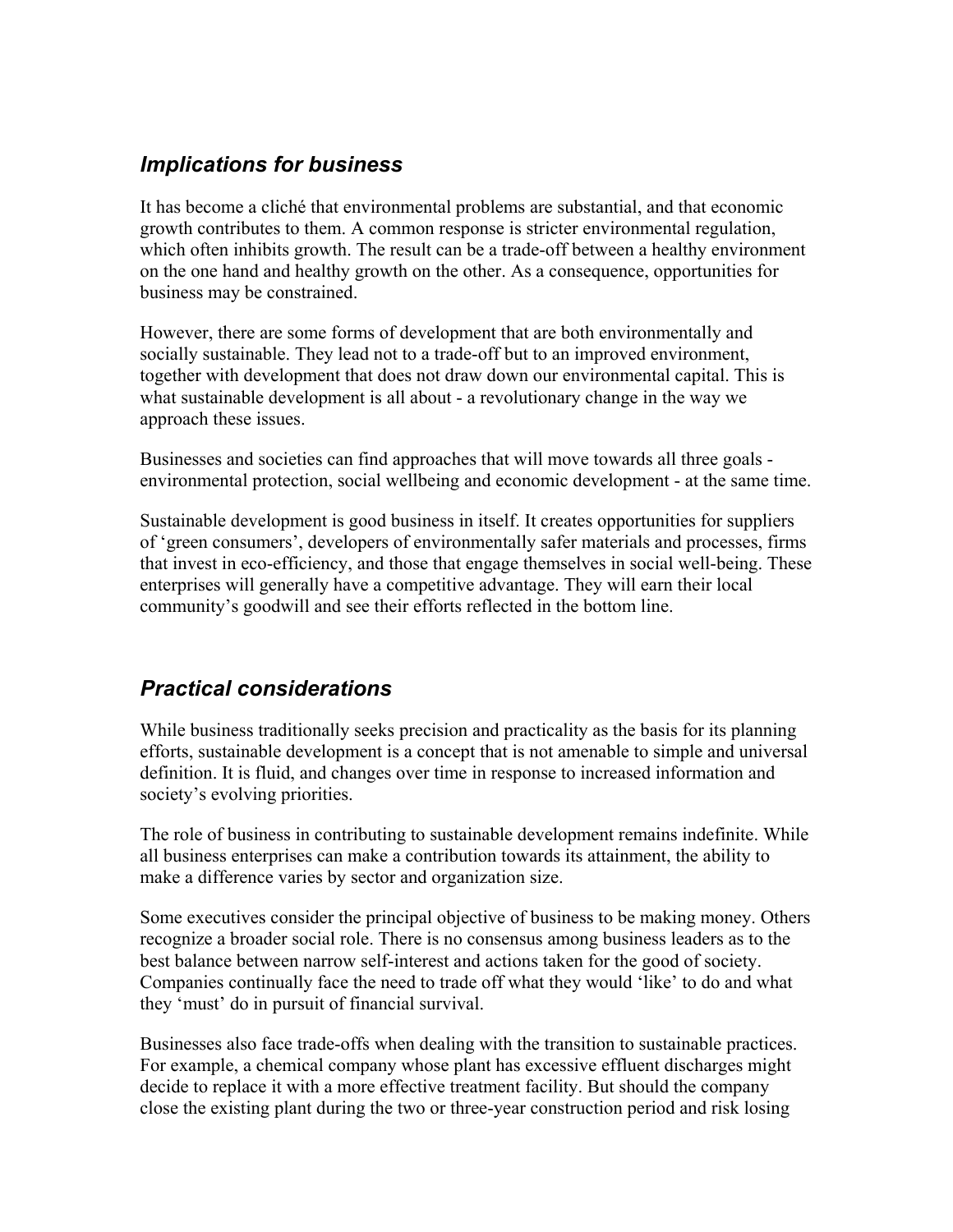## *Implications for business*

It has become a cliché that environmental problems are substantial, and that economic growth contributes to them. A common response is stricter environmental regulation, which often inhibits growth. The result can be a trade-off between a healthy environment on the one hand and healthy growth on the other. As a consequence, opportunities for business may be constrained.

However, there are some forms of development that are both environmentally and socially sustainable. They lead not to a trade-off but to an improved environment, together with development that does not draw down our environmental capital. This is what sustainable development is all about - a revolutionary change in the way we approach these issues.

Businesses and societies can find approaches that will move towards all three goals environmental protection, social wellbeing and economic development - at the same time.

Sustainable development is good business in itself. It creates opportunities for suppliers of 'green consumers', developers of environmentally safer materials and processes, firms that invest in eco-efficiency, and those that engage themselves in social well-being. These enterprises will generally have a competitive advantage. They will earn their local community's goodwill and see their efforts reflected in the bottom line.

## *Practical considerations*

While business traditionally seeks precision and practicality as the basis for its planning efforts, sustainable development is a concept that is not amenable to simple and universal definition. It is fluid, and changes over time in response to increased information and society's evolving priorities.

The role of business in contributing to sustainable development remains indefinite. While all business enterprises can make a contribution towards its attainment, the ability to make a difference varies by sector and organization size.

Some executives consider the principal objective of business to be making money. Others recognize a broader social role. There is no consensus among business leaders as to the best balance between narrow self-interest and actions taken for the good of society. Companies continually face the need to trade off what they would 'like' to do and what they 'must' do in pursuit of financial survival.

Businesses also face trade-offs when dealing with the transition to sustainable practices. For example, a chemical company whose plant has excessive effluent discharges might decide to replace it with a more effective treatment facility. But should the company close the existing plant during the two or three-year construction period and risk losing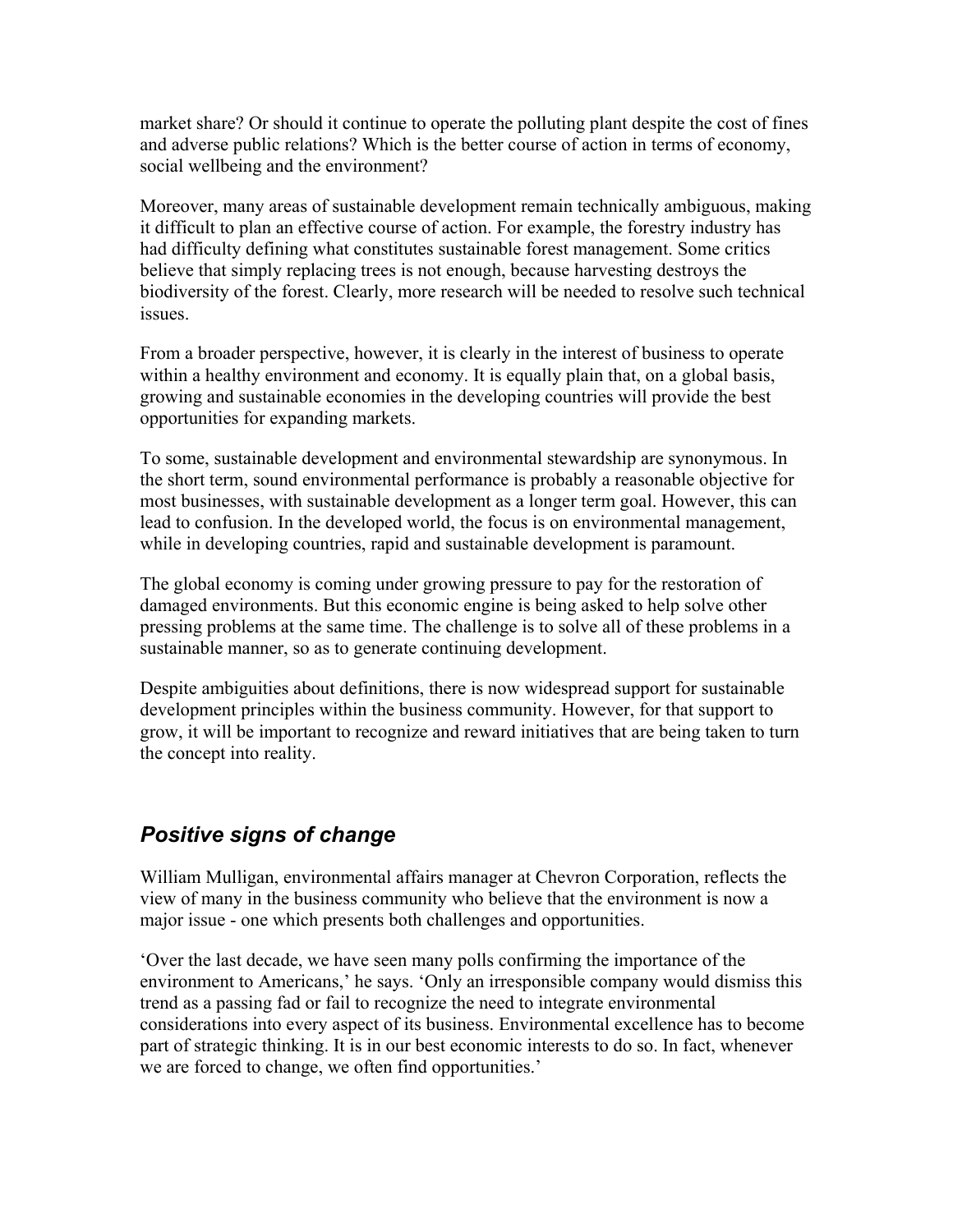market share? Or should it continue to operate the polluting plant despite the cost of fines and adverse public relations? Which is the better course of action in terms of economy, social wellbeing and the environment?

Moreover, many areas of sustainable development remain technically ambiguous, making it difficult to plan an effective course of action. For example, the forestry industry has had difficulty defining what constitutes sustainable forest management. Some critics believe that simply replacing trees is not enough, because harvesting destroys the biodiversity of the forest. Clearly, more research will be needed to resolve such technical issues.

From a broader perspective, however, it is clearly in the interest of business to operate within a healthy environment and economy. It is equally plain that, on a global basis, growing and sustainable economies in the developing countries will provide the best opportunities for expanding markets.

To some, sustainable development and environmental stewardship are synonymous. In the short term, sound environmental performance is probably a reasonable objective for most businesses, with sustainable development as a longer term goal. However, this can lead to confusion. In the developed world, the focus is on environmental management, while in developing countries, rapid and sustainable development is paramount.

The global economy is coming under growing pressure to pay for the restoration of damaged environments. But this economic engine is being asked to help solve other pressing problems at the same time. The challenge is to solve all of these problems in a sustainable manner, so as to generate continuing development.

Despite ambiguities about definitions, there is now widespread support for sustainable development principles within the business community. However, for that support to grow, it will be important to recognize and reward initiatives that are being taken to turn the concept into reality.

## *Positive signs of change*

William Mulligan, environmental affairs manager at Chevron Corporation, reflects the view of many in the business community who believe that the environment is now a major issue - one which presents both challenges and opportunities.

'Over the last decade, we have seen many polls confirming the importance of the environment to Americans,' he says. 'Only an irresponsible company would dismiss this trend as a passing fad or fail to recognize the need to integrate environmental considerations into every aspect of its business. Environmental excellence has to become part of strategic thinking. It is in our best economic interests to do so. In fact, whenever we are forced to change, we often find opportunities.'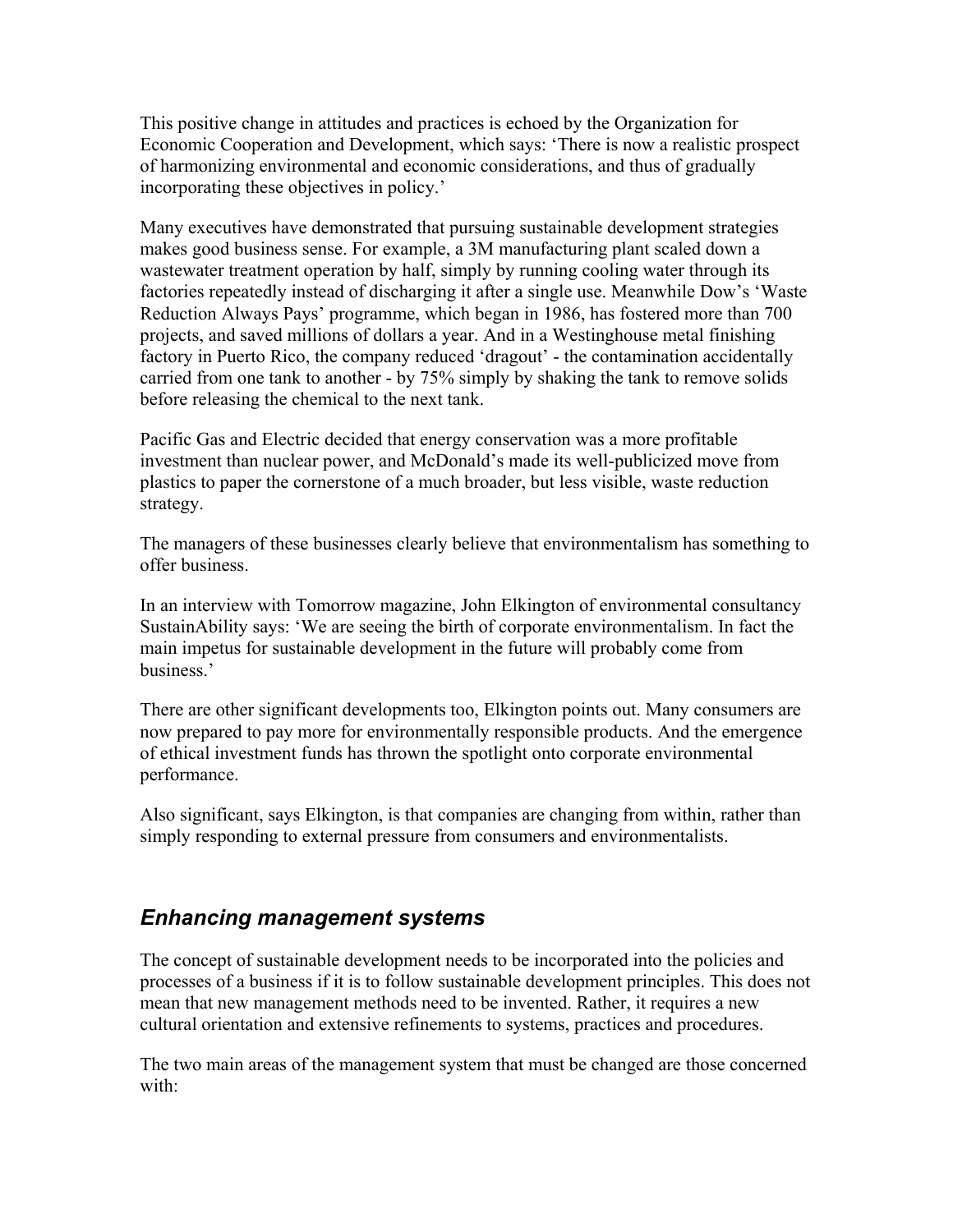This positive change in attitudes and practices is echoed by the Organization for Economic Cooperation and Development, which says: 'There is now a realistic prospect of harmonizing environmental and economic considerations, and thus of gradually incorporating these objectives in policy.'

Many executives have demonstrated that pursuing sustainable development strategies makes good business sense. For example, a 3M manufacturing plant scaled down a wastewater treatment operation by half, simply by running cooling water through its factories repeatedly instead of discharging it after a single use. Meanwhile Dow's 'Waste Reduction Always Pays' programme, which began in 1986, has fostered more than 700 projects, and saved millions of dollars a year. And in a Westinghouse metal finishing factory in Puerto Rico, the company reduced 'dragout' - the contamination accidentally carried from one tank to another - by 75% simply by shaking the tank to remove solids before releasing the chemical to the next tank.

Pacific Gas and Electric decided that energy conservation was a more profitable investment than nuclear power, and McDonald's made its well-publicized move from plastics to paper the cornerstone of a much broader, but less visible, waste reduction strategy.

The managers of these businesses clearly believe that environmentalism has something to offer business.

In an interview with Tomorrow magazine, John Elkington of environmental consultancy SustainAbility says: 'We are seeing the birth of corporate environmentalism. In fact the main impetus for sustainable development in the future will probably come from business.'

There are other significant developments too, Elkington points out. Many consumers are now prepared to pay more for environmentally responsible products. And the emergence of ethical investment funds has thrown the spotlight onto corporate environmental performance.

Also significant, says Elkington, is that companies are changing from within, rather than simply responding to external pressure from consumers and environmentalists.

## *Enhancing management systems*

The concept of sustainable development needs to be incorporated into the policies and processes of a business if it is to follow sustainable development principles. This does not mean that new management methods need to be invented. Rather, it requires a new cultural orientation and extensive refinements to systems, practices and procedures.

The two main areas of the management system that must be changed are those concerned with: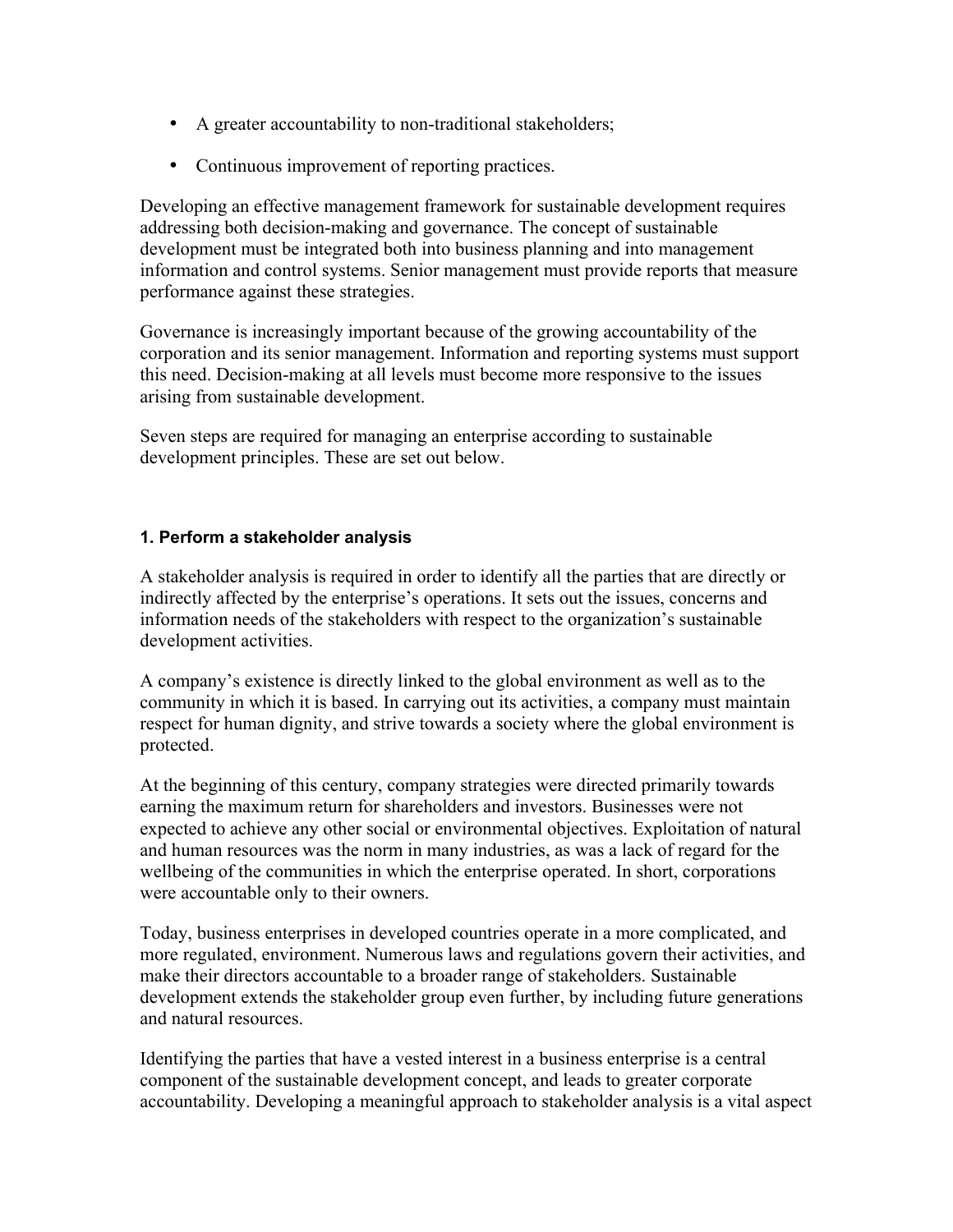- A greater accountability to non-traditional stakeholders;
- Continuous improvement of reporting practices.

Developing an effective management framework for sustainable development requires addressing both decision-making and governance. The concept of sustainable development must be integrated both into business planning and into management information and control systems. Senior management must provide reports that measure performance against these strategies.

Governance is increasingly important because of the growing accountability of the corporation and its senior management. Information and reporting systems must support this need. Decision-making at all levels must become more responsive to the issues arising from sustainable development.

Seven steps are required for managing an enterprise according to sustainable development principles. These are set out below.

### **1. Perform a stakeholder analysis**

A stakeholder analysis is required in order to identify all the parties that are directly or indirectly affected by the enterprise's operations. It sets out the issues, concerns and information needs of the stakeholders with respect to the organization's sustainable development activities.

A company's existence is directly linked to the global environment as well as to the community in which it is based. In carrying out its activities, a company must maintain respect for human dignity, and strive towards a society where the global environment is protected.

At the beginning of this century, company strategies were directed primarily towards earning the maximum return for shareholders and investors. Businesses were not expected to achieve any other social or environmental objectives. Exploitation of natural and human resources was the norm in many industries, as was a lack of regard for the wellbeing of the communities in which the enterprise operated. In short, corporations were accountable only to their owners.

Today, business enterprises in developed countries operate in a more complicated, and more regulated, environment. Numerous laws and regulations govern their activities, and make their directors accountable to a broader range of stakeholders. Sustainable development extends the stakeholder group even further, by including future generations and natural resources.

Identifying the parties that have a vested interest in a business enterprise is a central component of the sustainable development concept, and leads to greater corporate accountability. Developing a meaningful approach to stakeholder analysis is a vital aspect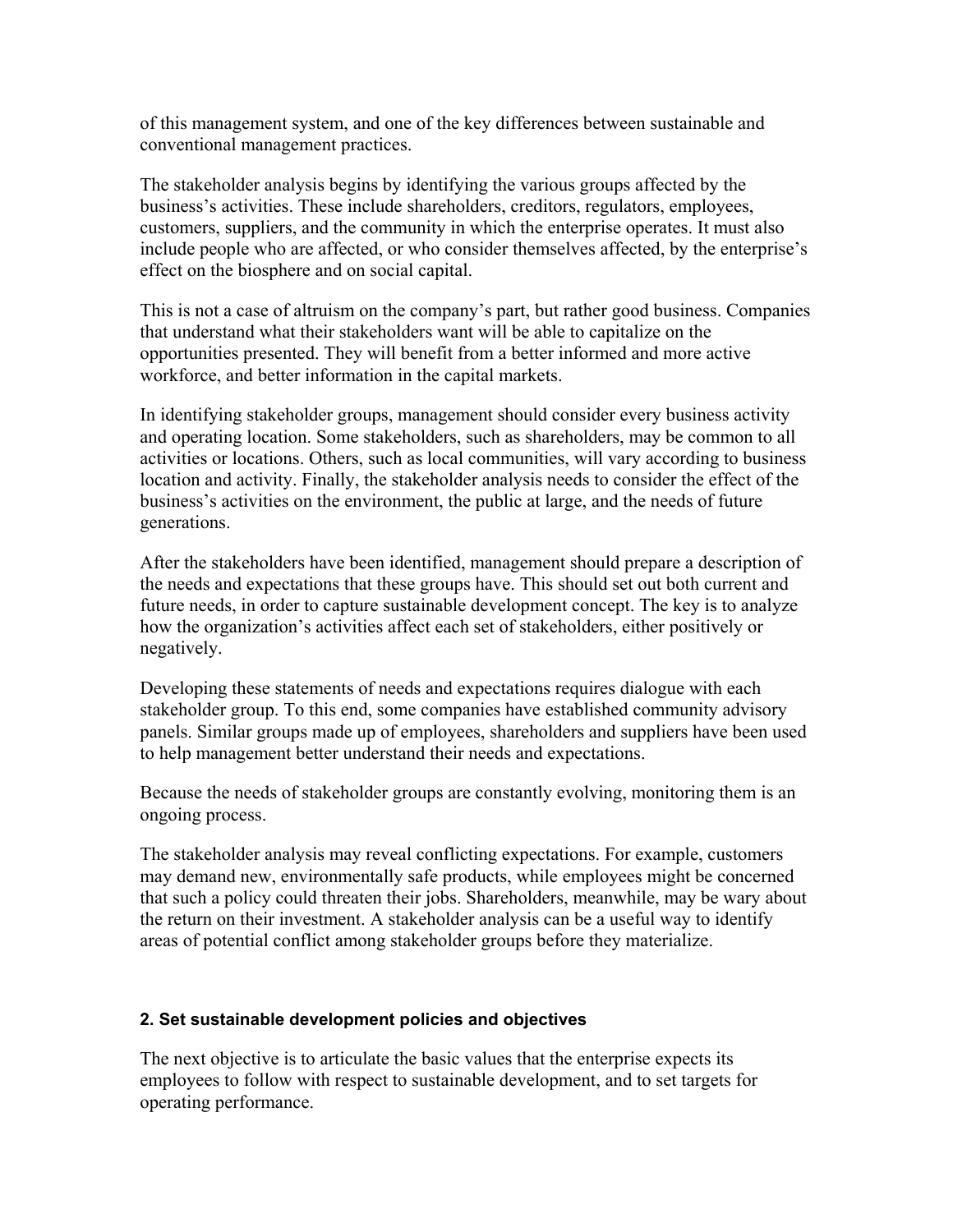of this management system, and one of the key differences between sustainable and conventional management practices.

The stakeholder analysis begins by identifying the various groups affected by the business's activities. These include shareholders, creditors, regulators, employees, customers, suppliers, and the community in which the enterprise operates. It must also include people who are affected, or who consider themselves affected, by the enterprise's effect on the biosphere and on social capital.

This is not a case of altruism on the company's part, but rather good business. Companies that understand what their stakeholders want will be able to capitalize on the opportunities presented. They will benefit from a better informed and more active workforce, and better information in the capital markets.

In identifying stakeholder groups, management should consider every business activity and operating location. Some stakeholders, such as shareholders, may be common to all activities or locations. Others, such as local communities, will vary according to business location and activity. Finally, the stakeholder analysis needs to consider the effect of the business's activities on the environment, the public at large, and the needs of future generations.

After the stakeholders have been identified, management should prepare a description of the needs and expectations that these groups have. This should set out both current and future needs, in order to capture sustainable development concept. The key is to analyze how the organization's activities affect each set of stakeholders, either positively or negatively.

Developing these statements of needs and expectations requires dialogue with each stakeholder group. To this end, some companies have established community advisory panels. Similar groups made up of employees, shareholders and suppliers have been used to help management better understand their needs and expectations.

Because the needs of stakeholder groups are constantly evolving, monitoring them is an ongoing process.

The stakeholder analysis may reveal conflicting expectations. For example, customers may demand new, environmentally safe products, while employees might be concerned that such a policy could threaten their jobs. Shareholders, meanwhile, may be wary about the return on their investment. A stakeholder analysis can be a useful way to identify areas of potential conflict among stakeholder groups before they materialize.

### **2. Set sustainable development policies and objectives**

The next objective is to articulate the basic values that the enterprise expects its employees to follow with respect to sustainable development, and to set targets for operating performance.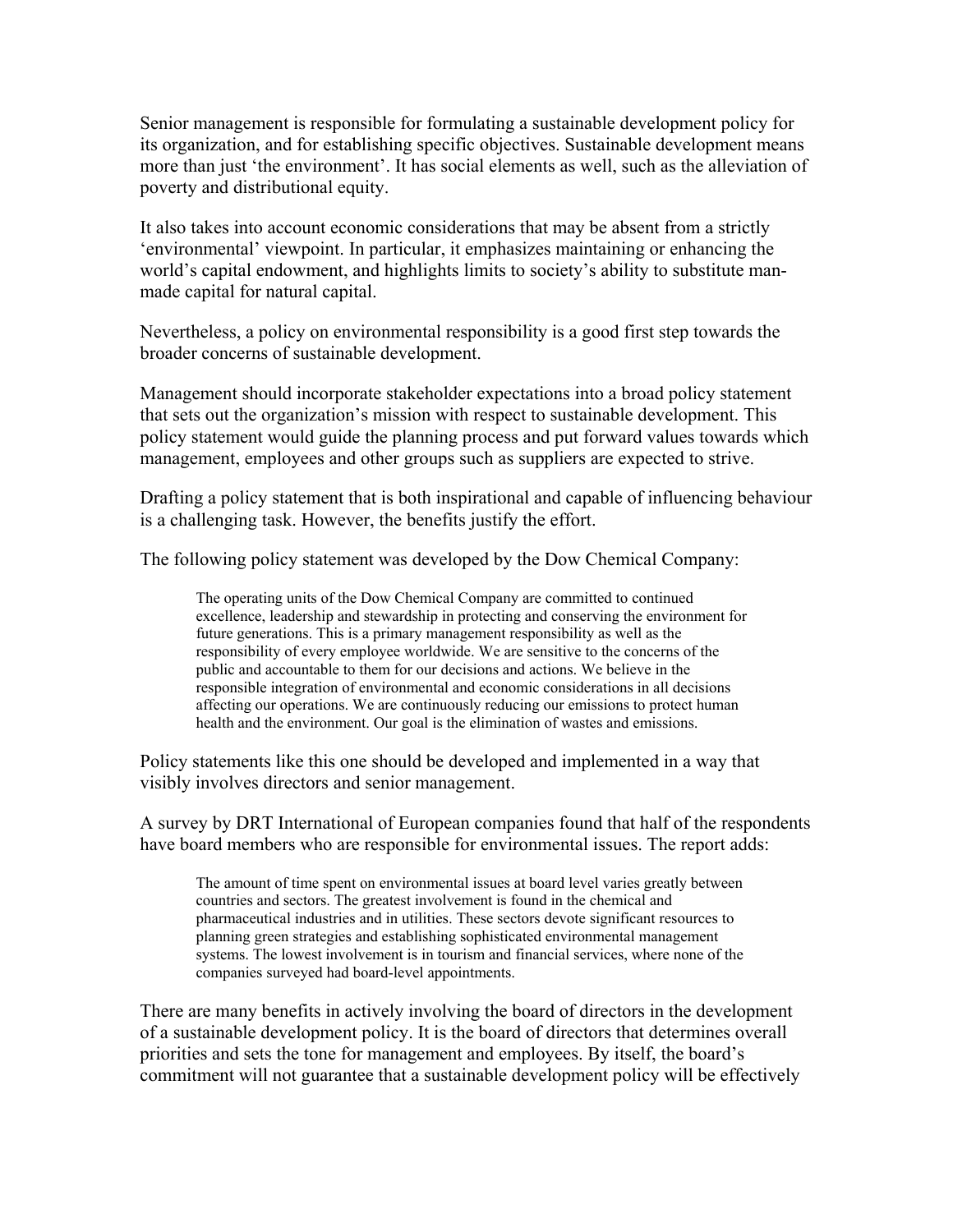Senior management is responsible for formulating a sustainable development policy for its organization, and for establishing specific objectives. Sustainable development means more than just 'the environment'. It has social elements as well, such as the alleviation of poverty and distributional equity.

It also takes into account economic considerations that may be absent from a strictly 'environmental' viewpoint. In particular, it emphasizes maintaining or enhancing the world's capital endowment, and highlights limits to society's ability to substitute manmade capital for natural capital.

Nevertheless, a policy on environmental responsibility is a good first step towards the broader concerns of sustainable development.

Management should incorporate stakeholder expectations into a broad policy statement that sets out the organization's mission with respect to sustainable development. This policy statement would guide the planning process and put forward values towards which management, employees and other groups such as suppliers are expected to strive.

Drafting a policy statement that is both inspirational and capable of influencing behaviour is a challenging task. However, the benefits justify the effort.

The following policy statement was developed by the Dow Chemical Company:

The operating units of the Dow Chemical Company are committed to continued excellence, leadership and stewardship in protecting and conserving the environment for future generations. This is a primary management responsibility as well as the responsibility of every employee worldwide. We are sensitive to the concerns of the public and accountable to them for our decisions and actions. We believe in the responsible integration of environmental and economic considerations in all decisions affecting our operations. We are continuously reducing our emissions to protect human health and the environment. Our goal is the elimination of wastes and emissions.

Policy statements like this one should be developed and implemented in a way that visibly involves directors and senior management.

A survey by DRT International of European companies found that half of the respondents have board members who are responsible for environmental issues. The report adds:

The amount of time spent on environmental issues at board level varies greatly between countries and sectors. The greatest involvement is found in the chemical and pharmaceutical industries and in utilities. These sectors devote significant resources to planning green strategies and establishing sophisticated environmental management systems. The lowest involvement is in tourism and financial services, where none of the companies surveyed had board-level appointments.

There are many benefits in actively involving the board of directors in the development of a sustainable development policy. It is the board of directors that determines overall priorities and sets the tone for management and employees. By itself, the board's commitment will not guarantee that a sustainable development policy will be effectively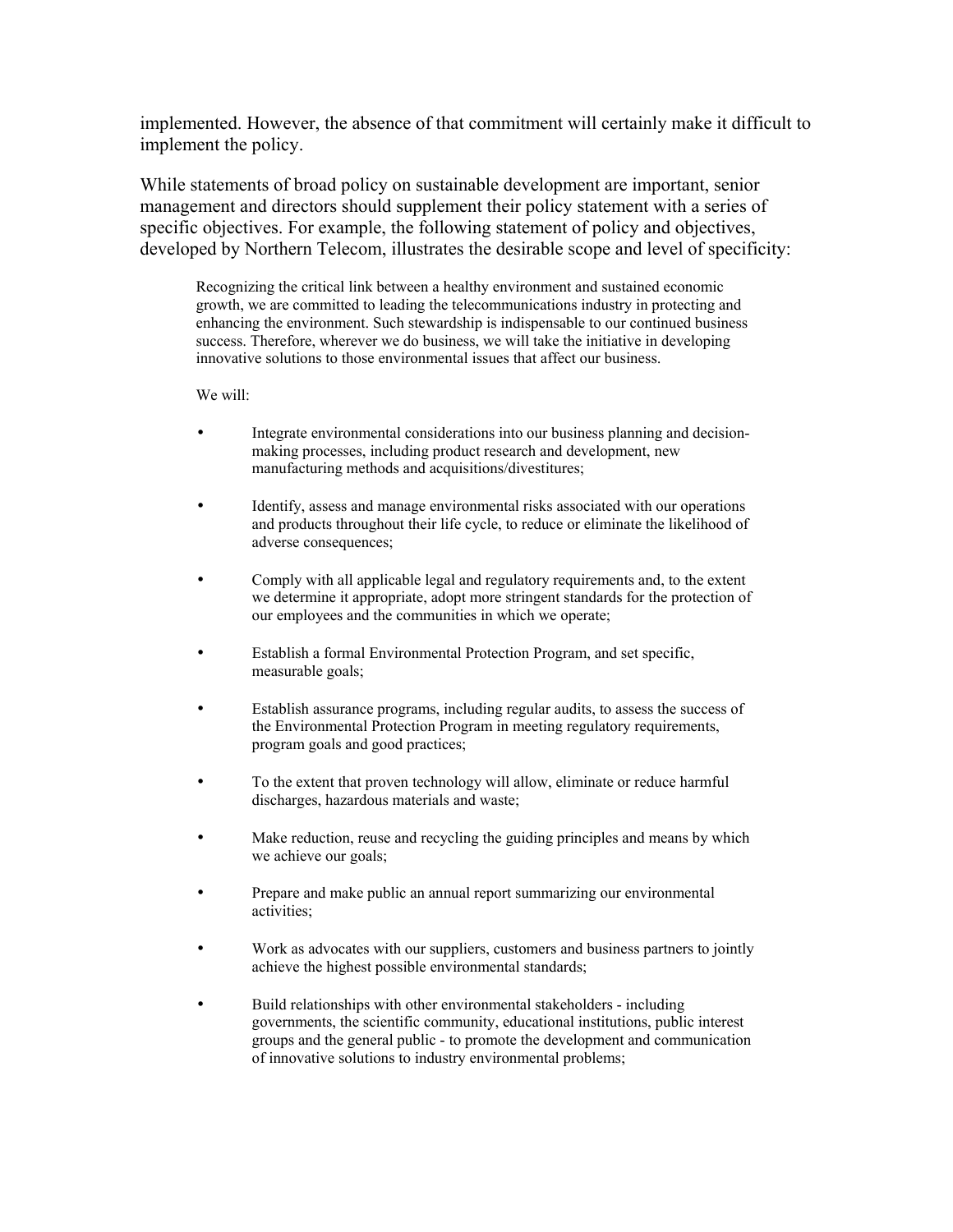implemented. However, the absence of that commitment will certainly make it difficult to implement the policy.

While statements of broad policy on sustainable development are important, senior management and directors should supplement their policy statement with a series of specific objectives. For example, the following statement of policy and objectives, developed by Northern Telecom, illustrates the desirable scope and level of specificity:

Recognizing the critical link between a healthy environment and sustained economic growth, we are committed to leading the telecommunications industry in protecting and enhancing the environment. Such stewardship is indispensable to our continued business success. Therefore, wherever we do business, we will take the initiative in developing innovative solutions to those environmental issues that affect our business.

We will:

- Integrate environmental considerations into our business planning and decisionmaking processes, including product research and development, new manufacturing methods and acquisitions/divestitures;
- Identify, assess and manage environmental risks associated with our operations and products throughout their life cycle, to reduce or eliminate the likelihood of adverse consequences;
- Comply with all applicable legal and regulatory requirements and, to the extent we determine it appropriate, adopt more stringent standards for the protection of our employees and the communities in which we operate;
- Establish a formal Environmental Protection Program, and set specific, measurable goals;
- Establish assurance programs, including regular audits, to assess the success of the Environmental Protection Program in meeting regulatory requirements, program goals and good practices;
- To the extent that proven technology will allow, eliminate or reduce harmful discharges, hazardous materials and waste;
- Make reduction, reuse and recycling the guiding principles and means by which we achieve our goals;
- Prepare and make public an annual report summarizing our environmental activities;
- Work as advocates with our suppliers, customers and business partners to jointly achieve the highest possible environmental standards;
- Build relationships with other environmental stakeholders including governments, the scientific community, educational institutions, public interest groups and the general public - to promote the development and communication of innovative solutions to industry environmental problems;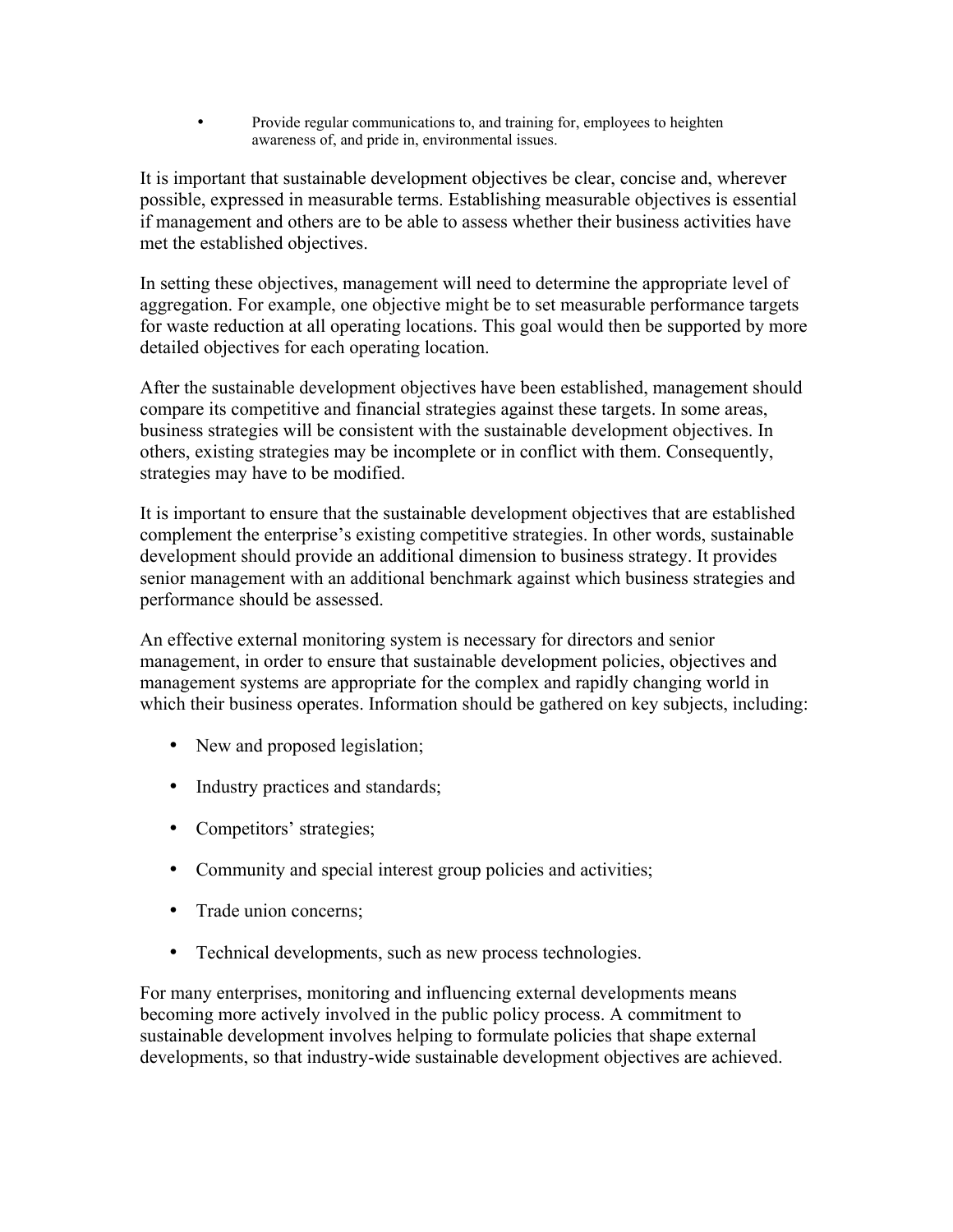• Provide regular communications to, and training for, employees to heighten awareness of, and pride in, environmental issues.

It is important that sustainable development objectives be clear, concise and, wherever possible, expressed in measurable terms. Establishing measurable objectives is essential if management and others are to be able to assess whether their business activities have met the established objectives.

In setting these objectives, management will need to determine the appropriate level of aggregation. For example, one objective might be to set measurable performance targets for waste reduction at all operating locations. This goal would then be supported by more detailed objectives for each operating location.

After the sustainable development objectives have been established, management should compare its competitive and financial strategies against these targets. In some areas, business strategies will be consistent with the sustainable development objectives. In others, existing strategies may be incomplete or in conflict with them. Consequently, strategies may have to be modified.

It is important to ensure that the sustainable development objectives that are established complement the enterprise's existing competitive strategies. In other words, sustainable development should provide an additional dimension to business strategy. It provides senior management with an additional benchmark against which business strategies and performance should be assessed.

An effective external monitoring system is necessary for directors and senior management, in order to ensure that sustainable development policies, objectives and management systems are appropriate for the complex and rapidly changing world in which their business operates. Information should be gathered on key subjects, including:

- New and proposed legislation;
- Industry practices and standards;
- Competitors' strategies;
- Community and special interest group policies and activities;
- Trade union concerns;
- Technical developments, such as new process technologies.

For many enterprises, monitoring and influencing external developments means becoming more actively involved in the public policy process. A commitment to sustainable development involves helping to formulate policies that shape external developments, so that industry-wide sustainable development objectives are achieved.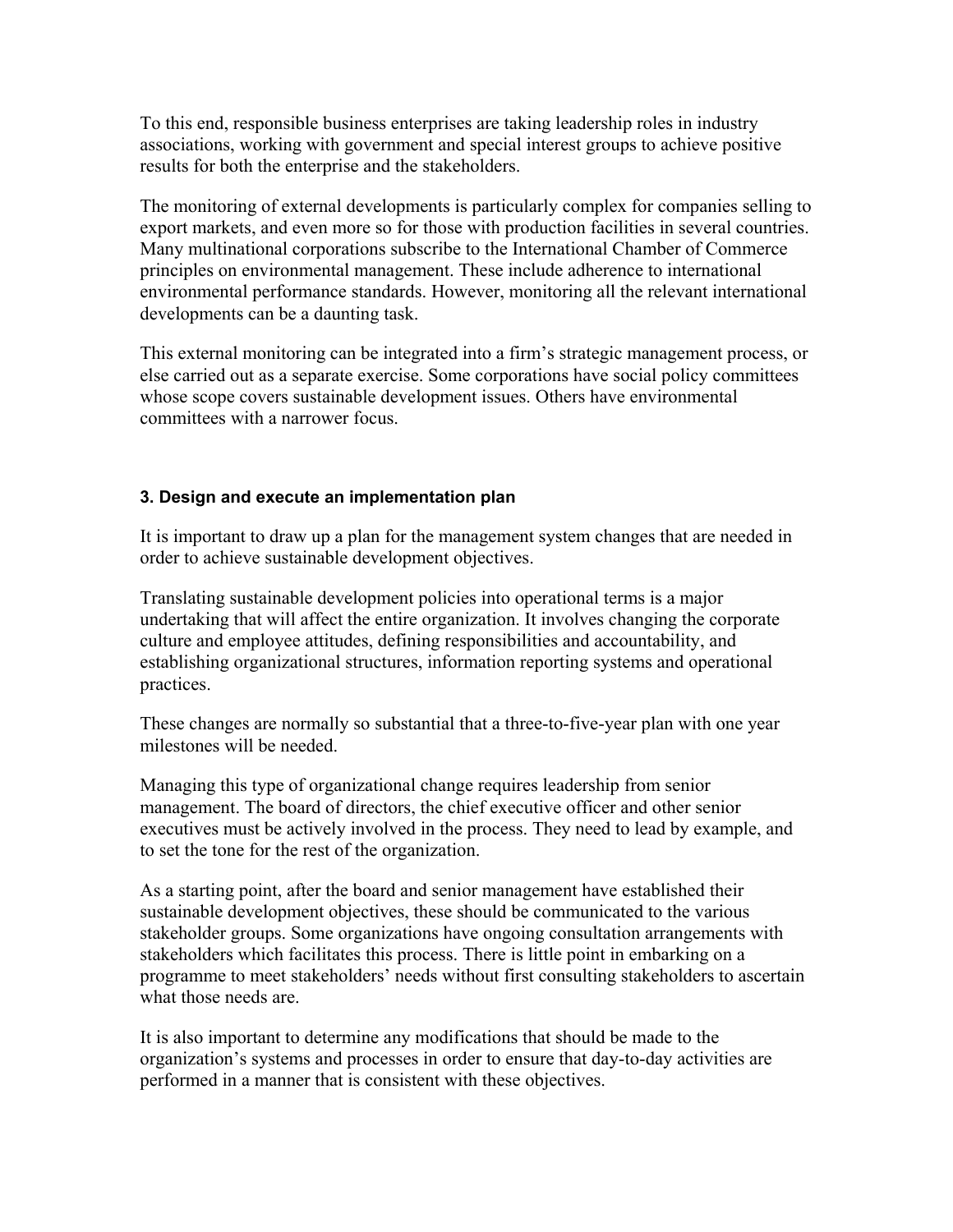To this end, responsible business enterprises are taking leadership roles in industry associations, working with government and special interest groups to achieve positive results for both the enterprise and the stakeholders.

The monitoring of external developments is particularly complex for companies selling to export markets, and even more so for those with production facilities in several countries. Many multinational corporations subscribe to the International Chamber of Commerce principles on environmental management. These include adherence to international environmental performance standards. However, monitoring all the relevant international developments can be a daunting task.

This external monitoring can be integrated into a firm's strategic management process, or else carried out as a separate exercise. Some corporations have social policy committees whose scope covers sustainable development issues. Others have environmental committees with a narrower focus.

## **3. Design and execute an implementation plan**

It is important to draw up a plan for the management system changes that are needed in order to achieve sustainable development objectives.

Translating sustainable development policies into operational terms is a major undertaking that will affect the entire organization. It involves changing the corporate culture and employee attitudes, defining responsibilities and accountability, and establishing organizational structures, information reporting systems and operational practices.

These changes are normally so substantial that a three-to-five-year plan with one year milestones will be needed.

Managing this type of organizational change requires leadership from senior management. The board of directors, the chief executive officer and other senior executives must be actively involved in the process. They need to lead by example, and to set the tone for the rest of the organization.

As a starting point, after the board and senior management have established their sustainable development objectives, these should be communicated to the various stakeholder groups. Some organizations have ongoing consultation arrangements with stakeholders which facilitates this process. There is little point in embarking on a programme to meet stakeholders' needs without first consulting stakeholders to ascertain what those needs are.

It is also important to determine any modifications that should be made to the organization's systems and processes in order to ensure that day-to-day activities are performed in a manner that is consistent with these objectives.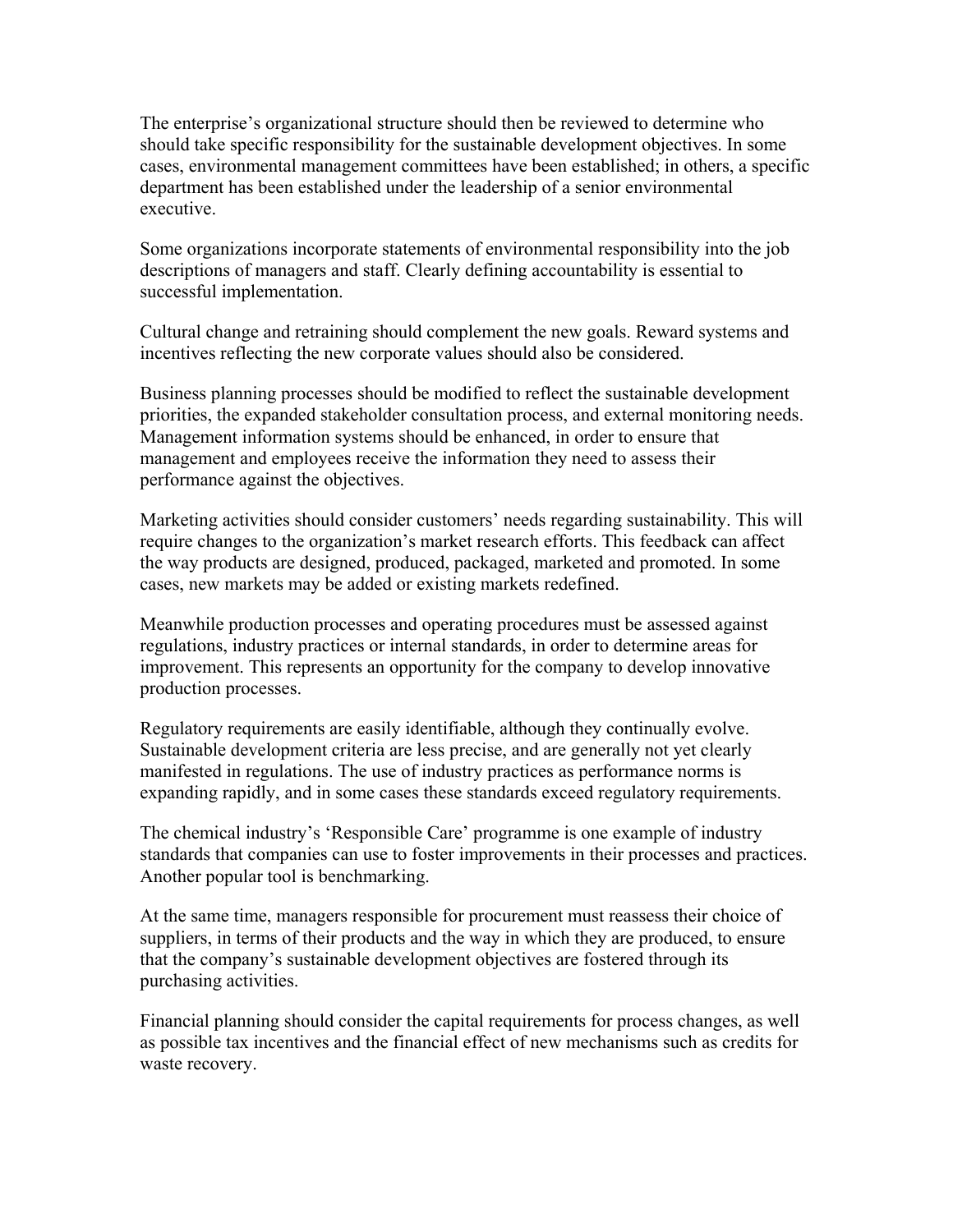The enterprise's organizational structure should then be reviewed to determine who should take specific responsibility for the sustainable development objectives. In some cases, environmental management committees have been established; in others, a specific department has been established under the leadership of a senior environmental executive.

Some organizations incorporate statements of environmental responsibility into the job descriptions of managers and staff. Clearly defining accountability is essential to successful implementation.

Cultural change and retraining should complement the new goals. Reward systems and incentives reflecting the new corporate values should also be considered.

Business planning processes should be modified to reflect the sustainable development priorities, the expanded stakeholder consultation process, and external monitoring needs. Management information systems should be enhanced, in order to ensure that management and employees receive the information they need to assess their performance against the objectives.

Marketing activities should consider customers' needs regarding sustainability. This will require changes to the organization's market research efforts. This feedback can affect the way products are designed, produced, packaged, marketed and promoted. In some cases, new markets may be added or existing markets redefined.

Meanwhile production processes and operating procedures must be assessed against regulations, industry practices or internal standards, in order to determine areas for improvement. This represents an opportunity for the company to develop innovative production processes.

Regulatory requirements are easily identifiable, although they continually evolve. Sustainable development criteria are less precise, and are generally not yet clearly manifested in regulations. The use of industry practices as performance norms is expanding rapidly, and in some cases these standards exceed regulatory requirements.

The chemical industry's 'Responsible Care' programme is one example of industry standards that companies can use to foster improvements in their processes and practices. Another popular tool is benchmarking.

At the same time, managers responsible for procurement must reassess their choice of suppliers, in terms of their products and the way in which they are produced, to ensure that the company's sustainable development objectives are fostered through its purchasing activities.

Financial planning should consider the capital requirements for process changes, as well as possible tax incentives and the financial effect of new mechanisms such as credits for waste recovery.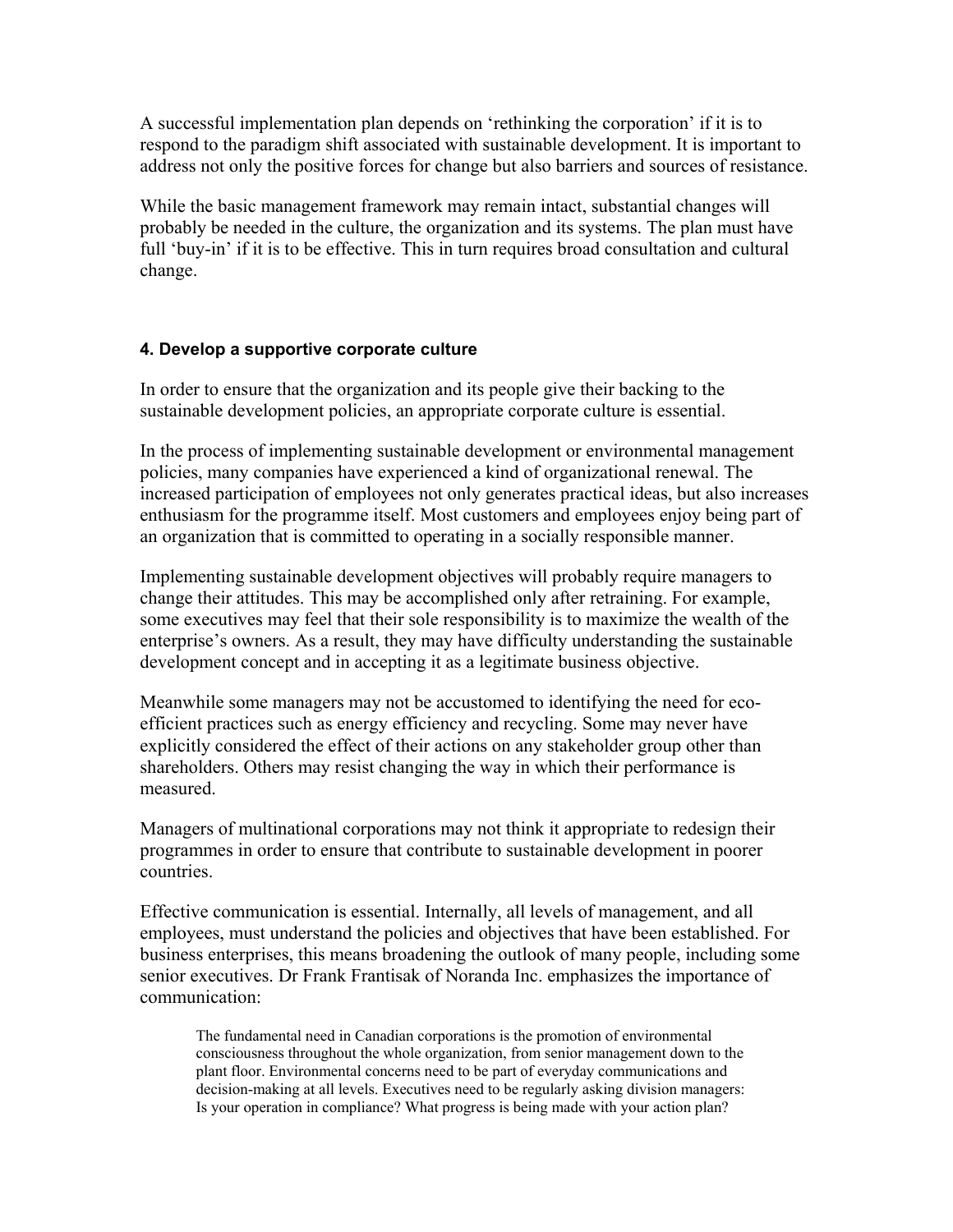A successful implementation plan depends on 'rethinking the corporation' if it is to respond to the paradigm shift associated with sustainable development. It is important to address not only the positive forces for change but also barriers and sources of resistance.

While the basic management framework may remain intact, substantial changes will probably be needed in the culture, the organization and its systems. The plan must have full 'buy-in' if it is to be effective. This in turn requires broad consultation and cultural change.

### **4. Develop a supportive corporate culture**

In order to ensure that the organization and its people give their backing to the sustainable development policies, an appropriate corporate culture is essential.

In the process of implementing sustainable development or environmental management policies, many companies have experienced a kind of organizational renewal. The increased participation of employees not only generates practical ideas, but also increases enthusiasm for the programme itself. Most customers and employees enjoy being part of an organization that is committed to operating in a socially responsible manner.

Implementing sustainable development objectives will probably require managers to change their attitudes. This may be accomplished only after retraining. For example, some executives may feel that their sole responsibility is to maximize the wealth of the enterprise's owners. As a result, they may have difficulty understanding the sustainable development concept and in accepting it as a legitimate business objective.

Meanwhile some managers may not be accustomed to identifying the need for ecoefficient practices such as energy efficiency and recycling. Some may never have explicitly considered the effect of their actions on any stakeholder group other than shareholders. Others may resist changing the way in which their performance is measured.

Managers of multinational corporations may not think it appropriate to redesign their programmes in order to ensure that contribute to sustainable development in poorer countries.

Effective communication is essential. Internally, all levels of management, and all employees, must understand the policies and objectives that have been established. For business enterprises, this means broadening the outlook of many people, including some senior executives. Dr Frank Frantisak of Noranda Inc. emphasizes the importance of communication:

The fundamental need in Canadian corporations is the promotion of environmental consciousness throughout the whole organization, from senior management down to the plant floor. Environmental concerns need to be part of everyday communications and decision-making at all levels. Executives need to be regularly asking division managers: Is your operation in compliance? What progress is being made with your action plan?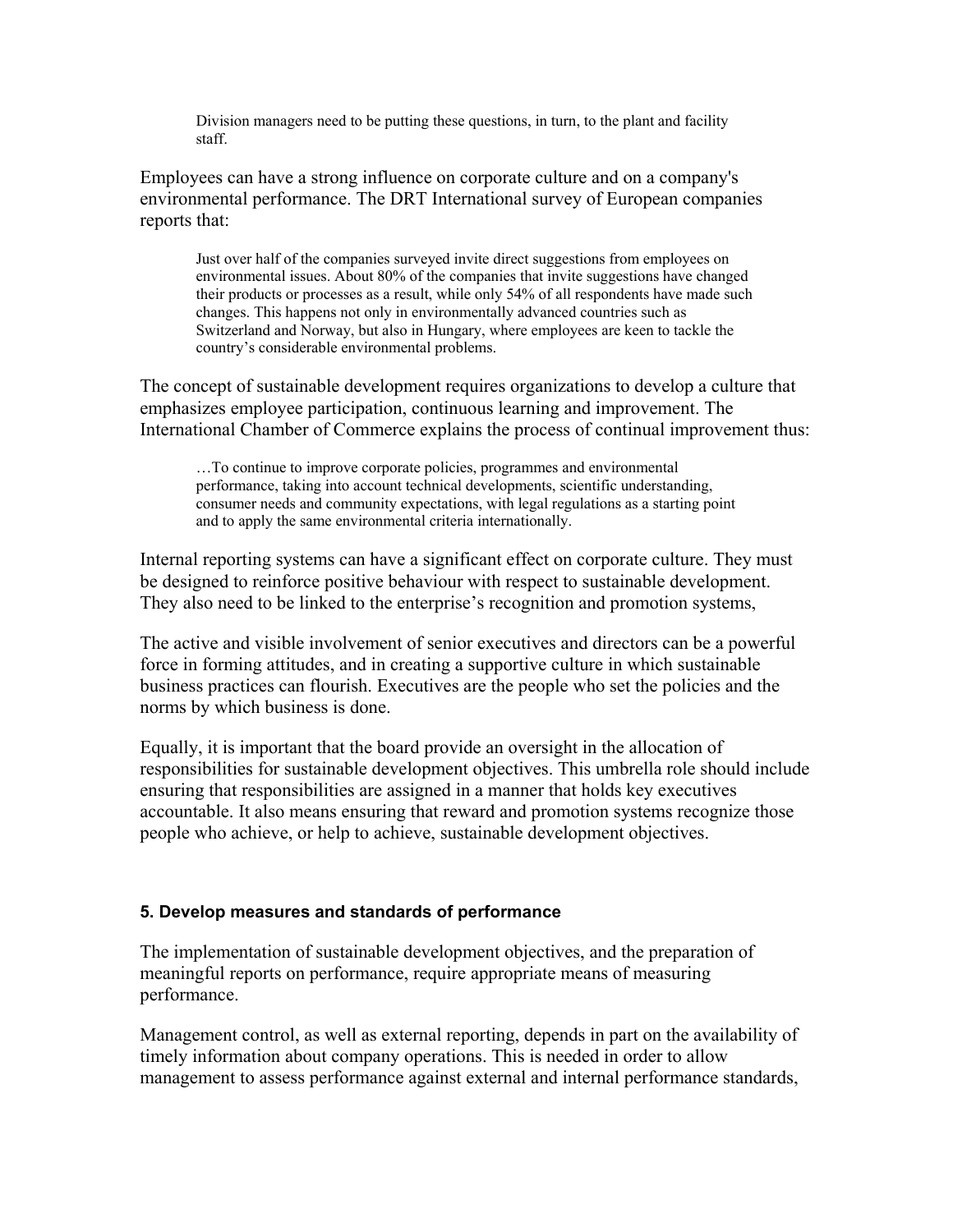Division managers need to be putting these questions, in turn, to the plant and facility staff.

Employees can have a strong influence on corporate culture and on a company's environmental performance. The DRT International survey of European companies reports that:

Just over half of the companies surveyed invite direct suggestions from employees on environmental issues. About 80% of the companies that invite suggestions have changed their products or processes as a result, while only 54% of all respondents have made such changes. This happens not only in environmentally advanced countries such as Switzerland and Norway, but also in Hungary, where employees are keen to tackle the country's considerable environmental problems.

The concept of sustainable development requires organizations to develop a culture that emphasizes employee participation, continuous learning and improvement. The International Chamber of Commerce explains the process of continual improvement thus:

…To continue to improve corporate policies, programmes and environmental performance, taking into account technical developments, scientific understanding, consumer needs and community expectations, with legal regulations as a starting point and to apply the same environmental criteria internationally.

Internal reporting systems can have a significant effect on corporate culture. They must be designed to reinforce positive behaviour with respect to sustainable development. They also need to be linked to the enterprise's recognition and promotion systems,

The active and visible involvement of senior executives and directors can be a powerful force in forming attitudes, and in creating a supportive culture in which sustainable business practices can flourish. Executives are the people who set the policies and the norms by which business is done.

Equally, it is important that the board provide an oversight in the allocation of responsibilities for sustainable development objectives. This umbrella role should include ensuring that responsibilities are assigned in a manner that holds key executives accountable. It also means ensuring that reward and promotion systems recognize those people who achieve, or help to achieve, sustainable development objectives.

## **5. Develop measures and standards of performance**

The implementation of sustainable development objectives, and the preparation of meaningful reports on performance, require appropriate means of measuring performance.

Management control, as well as external reporting, depends in part on the availability of timely information about company operations. This is needed in order to allow management to assess performance against external and internal performance standards,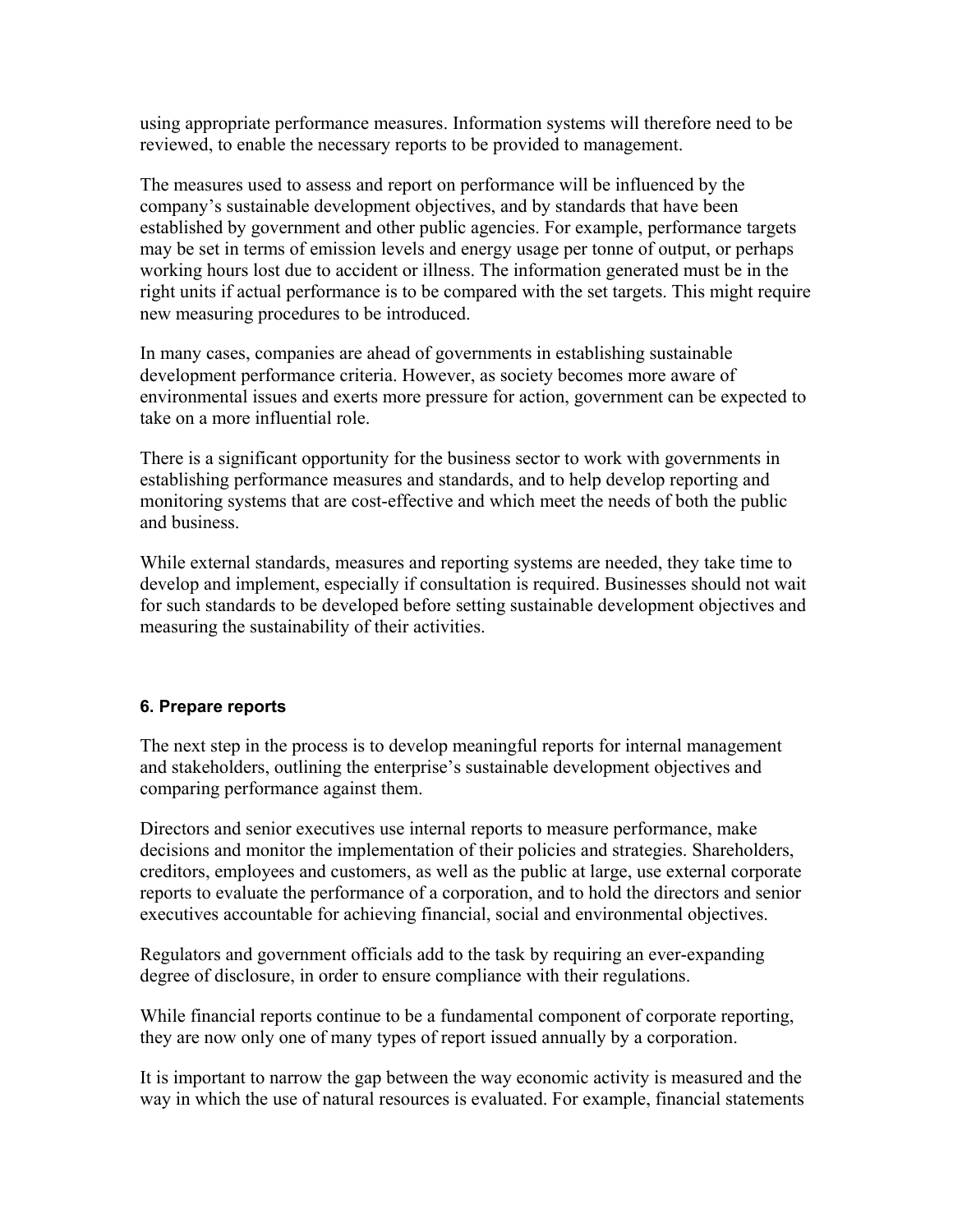using appropriate performance measures. Information systems will therefore need to be reviewed, to enable the necessary reports to be provided to management.

The measures used to assess and report on performance will be influenced by the company's sustainable development objectives, and by standards that have been established by government and other public agencies. For example, performance targets may be set in terms of emission levels and energy usage per tonne of output, or perhaps working hours lost due to accident or illness. The information generated must be in the right units if actual performance is to be compared with the set targets. This might require new measuring procedures to be introduced.

In many cases, companies are ahead of governments in establishing sustainable development performance criteria. However, as society becomes more aware of environmental issues and exerts more pressure for action, government can be expected to take on a more influential role.

There is a significant opportunity for the business sector to work with governments in establishing performance measures and standards, and to help develop reporting and monitoring systems that are cost-effective and which meet the needs of both the public and business.

While external standards, measures and reporting systems are needed, they take time to develop and implement, especially if consultation is required. Businesses should not wait for such standards to be developed before setting sustainable development objectives and measuring the sustainability of their activities.

## **6. Prepare reports**

The next step in the process is to develop meaningful reports for internal management and stakeholders, outlining the enterprise's sustainable development objectives and comparing performance against them.

Directors and senior executives use internal reports to measure performance, make decisions and monitor the implementation of their policies and strategies. Shareholders, creditors, employees and customers, as well as the public at large, use external corporate reports to evaluate the performance of a corporation, and to hold the directors and senior executives accountable for achieving financial, social and environmental objectives.

Regulators and government officials add to the task by requiring an ever-expanding degree of disclosure, in order to ensure compliance with their regulations.

While financial reports continue to be a fundamental component of corporate reporting, they are now only one of many types of report issued annually by a corporation.

It is important to narrow the gap between the way economic activity is measured and the way in which the use of natural resources is evaluated. For example, financial statements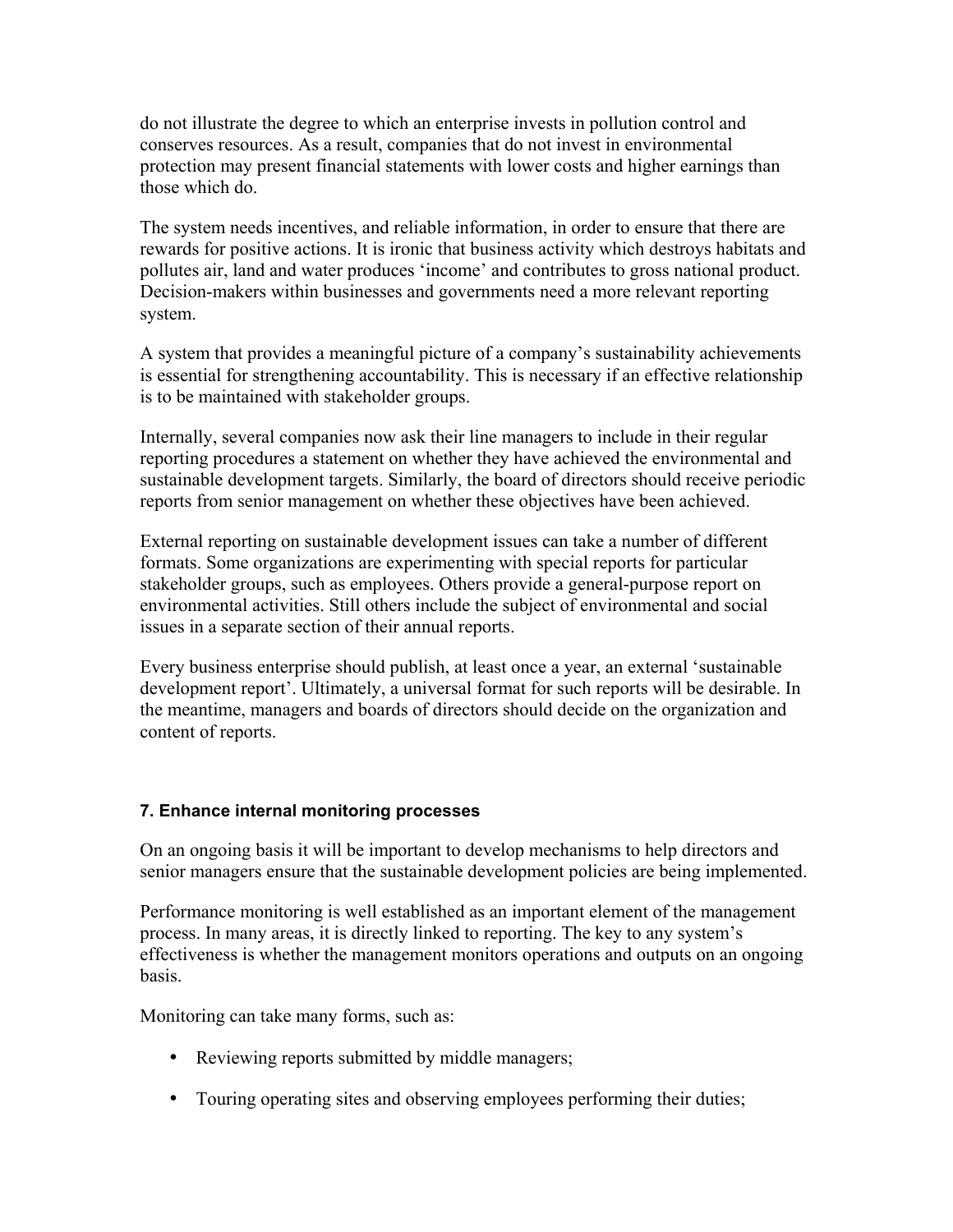do not illustrate the degree to which an enterprise invests in pollution control and conserves resources. As a result, companies that do not invest in environmental protection may present financial statements with lower costs and higher earnings than those which do.

The system needs incentives, and reliable information, in order to ensure that there are rewards for positive actions. It is ironic that business activity which destroys habitats and pollutes air, land and water produces 'income' and contributes to gross national product. Decision-makers within businesses and governments need a more relevant reporting system.

A system that provides a meaningful picture of a company's sustainability achievements is essential for strengthening accountability. This is necessary if an effective relationship is to be maintained with stakeholder groups.

Internally, several companies now ask their line managers to include in their regular reporting procedures a statement on whether they have achieved the environmental and sustainable development targets. Similarly, the board of directors should receive periodic reports from senior management on whether these objectives have been achieved.

External reporting on sustainable development issues can take a number of different formats. Some organizations are experimenting with special reports for particular stakeholder groups, such as employees. Others provide a general-purpose report on environmental activities. Still others include the subject of environmental and social issues in a separate section of their annual reports.

Every business enterprise should publish, at least once a year, an external 'sustainable development report'. Ultimately, a universal format for such reports will be desirable. In the meantime, managers and boards of directors should decide on the organization and content of reports.

#### **7. Enhance internal monitoring processes**

On an ongoing basis it will be important to develop mechanisms to help directors and senior managers ensure that the sustainable development policies are being implemented.

Performance monitoring is well established as an important element of the management process. In many areas, it is directly linked to reporting. The key to any system's effectiveness is whether the management monitors operations and outputs on an ongoing basis.

Monitoring can take many forms, such as:

- Reviewing reports submitted by middle managers;
- Touring operating sites and observing employees performing their duties;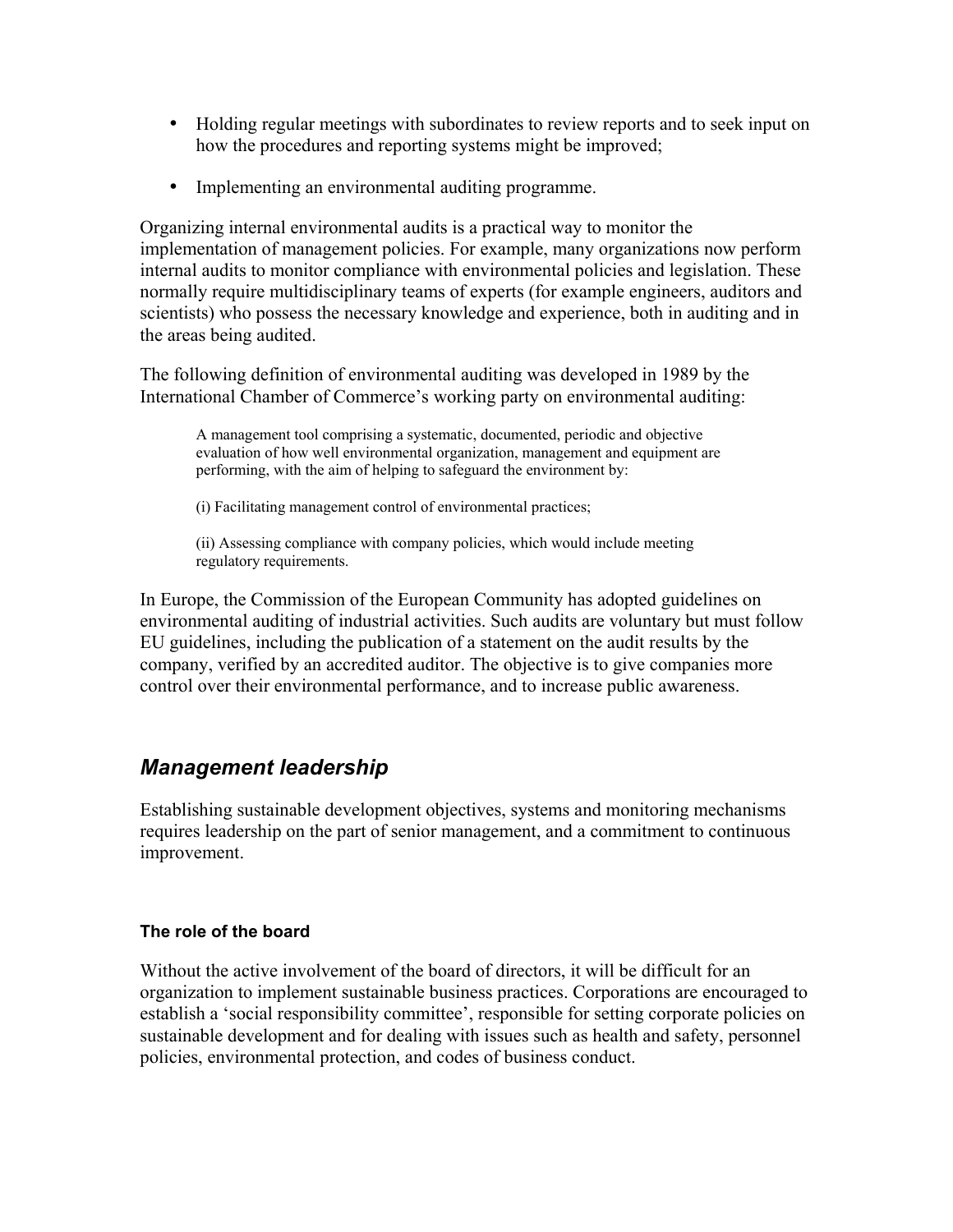- Holding regular meetings with subordinates to review reports and to seek input on how the procedures and reporting systems might be improved;
- Implementing an environmental auditing programme.

Organizing internal environmental audits is a practical way to monitor the implementation of management policies. For example, many organizations now perform internal audits to monitor compliance with environmental policies and legislation. These normally require multidisciplinary teams of experts (for example engineers, auditors and scientists) who possess the necessary knowledge and experience, both in auditing and in the areas being audited.

The following definition of environmental auditing was developed in 1989 by the International Chamber of Commerce's working party on environmental auditing:

A management tool comprising a systematic, documented, periodic and objective evaluation of how well environmental organization, management and equipment are performing, with the aim of helping to safeguard the environment by:

(i) Facilitating management control of environmental practices;

(ii) Assessing compliance with company policies, which would include meeting regulatory requirements.

In Europe, the Commission of the European Community has adopted guidelines on environmental auditing of industrial activities. Such audits are voluntary but must follow EU guidelines, including the publication of a statement on the audit results by the company, verified by an accredited auditor. The objective is to give companies more control over their environmental performance, and to increase public awareness.

## *Management leadership*

Establishing sustainable development objectives, systems and monitoring mechanisms requires leadership on the part of senior management, and a commitment to continuous improvement.

### **The role of the board**

Without the active involvement of the board of directors, it will be difficult for an organization to implement sustainable business practices. Corporations are encouraged to establish a 'social responsibility committee', responsible for setting corporate policies on sustainable development and for dealing with issues such as health and safety, personnel policies, environmental protection, and codes of business conduct.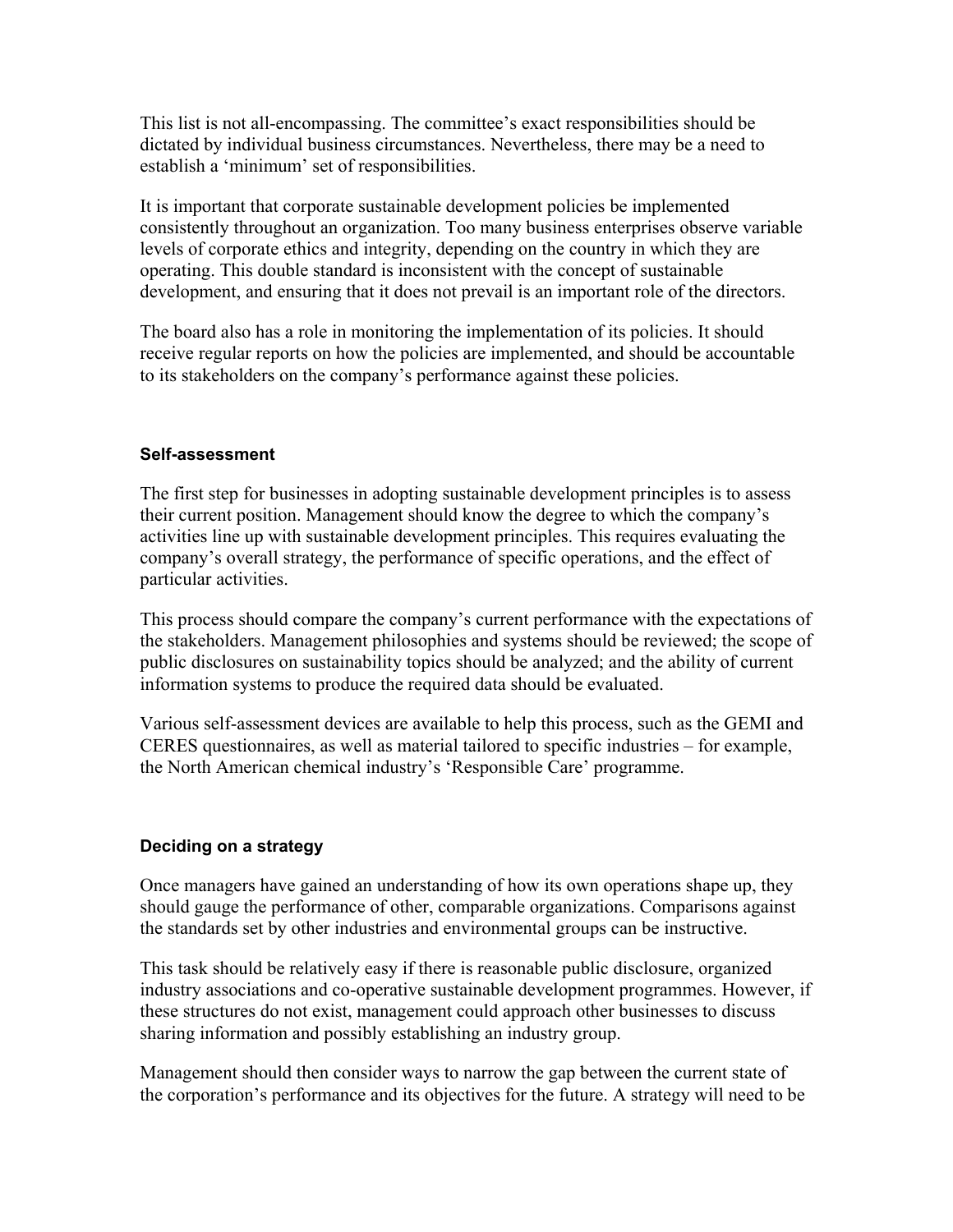This list is not all-encompassing. The committee's exact responsibilities should be dictated by individual business circumstances. Nevertheless, there may be a need to establish a 'minimum' set of responsibilities.

It is important that corporate sustainable development policies be implemented consistently throughout an organization. Too many business enterprises observe variable levels of corporate ethics and integrity, depending on the country in which they are operating. This double standard is inconsistent with the concept of sustainable development, and ensuring that it does not prevail is an important role of the directors.

The board also has a role in monitoring the implementation of its policies. It should receive regular reports on how the policies are implemented, and should be accountable to its stakeholders on the company's performance against these policies.

### **Self-assessment**

The first step for businesses in adopting sustainable development principles is to assess their current position. Management should know the degree to which the company's activities line up with sustainable development principles. This requires evaluating the company's overall strategy, the performance of specific operations, and the effect of particular activities.

This process should compare the company's current performance with the expectations of the stakeholders. Management philosophies and systems should be reviewed; the scope of public disclosures on sustainability topics should be analyzed; and the ability of current information systems to produce the required data should be evaluated.

Various self-assessment devices are available to help this process, such as the GEMI and CERES questionnaires, as well as material tailored to specific industries – for example, the North American chemical industry's 'Responsible Care' programme.

## **Deciding on a strategy**

Once managers have gained an understanding of how its own operations shape up, they should gauge the performance of other, comparable organizations. Comparisons against the standards set by other industries and environmental groups can be instructive.

This task should be relatively easy if there is reasonable public disclosure, organized industry associations and co-operative sustainable development programmes. However, if these structures do not exist, management could approach other businesses to discuss sharing information and possibly establishing an industry group.

Management should then consider ways to narrow the gap between the current state of the corporation's performance and its objectives for the future. A strategy will need to be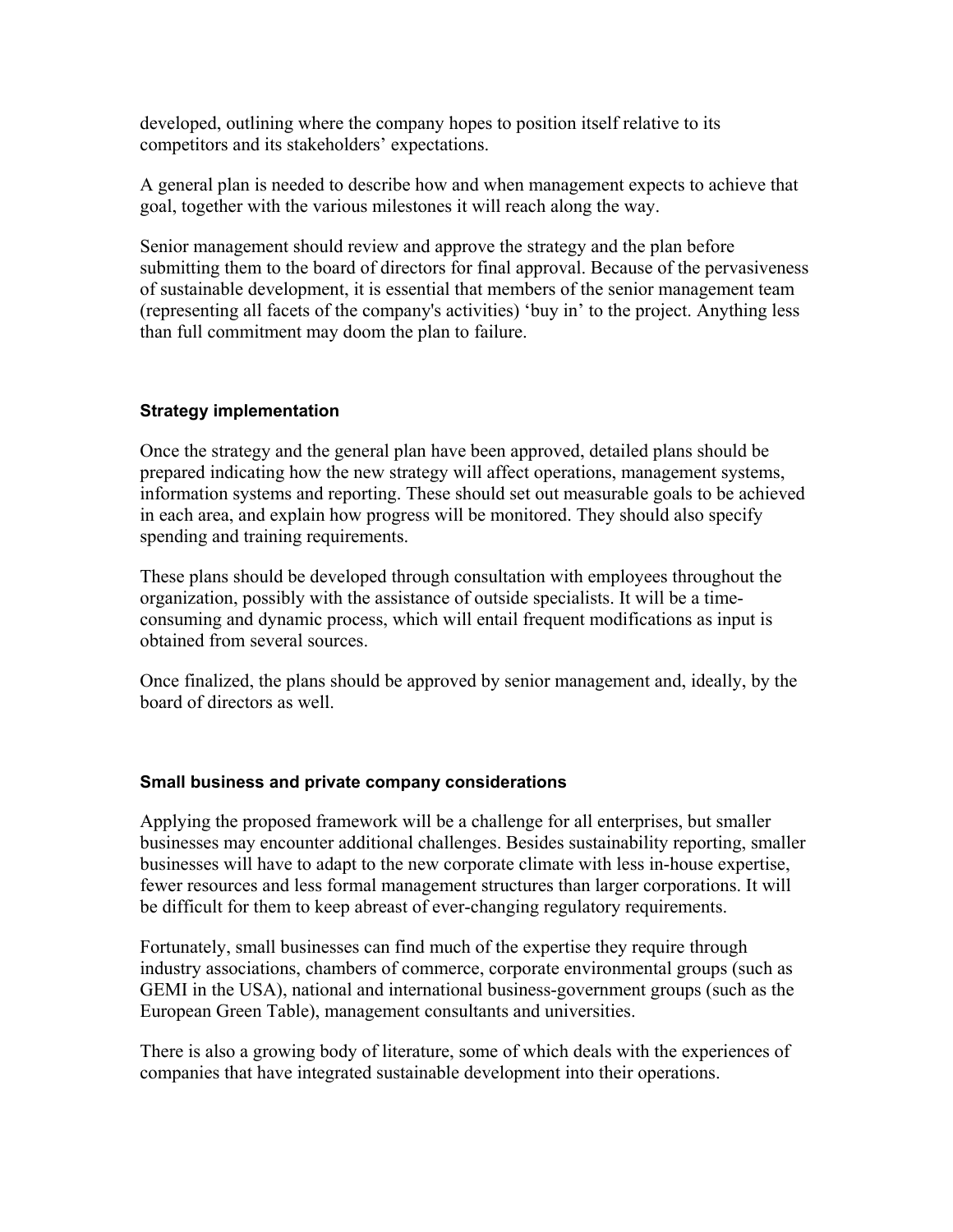developed, outlining where the company hopes to position itself relative to its competitors and its stakeholders' expectations.

A general plan is needed to describe how and when management expects to achieve that goal, together with the various milestones it will reach along the way.

Senior management should review and approve the strategy and the plan before submitting them to the board of directors for final approval. Because of the pervasiveness of sustainable development, it is essential that members of the senior management team (representing all facets of the company's activities) 'buy in' to the project. Anything less than full commitment may doom the plan to failure.

### **Strategy implementation**

Once the strategy and the general plan have been approved, detailed plans should be prepared indicating how the new strategy will affect operations, management systems, information systems and reporting. These should set out measurable goals to be achieved in each area, and explain how progress will be monitored. They should also specify spending and training requirements.

These plans should be developed through consultation with employees throughout the organization, possibly with the assistance of outside specialists. It will be a timeconsuming and dynamic process, which will entail frequent modifications as input is obtained from several sources.

Once finalized, the plans should be approved by senior management and, ideally, by the board of directors as well.

### **Small business and private company considerations**

Applying the proposed framework will be a challenge for all enterprises, but smaller businesses may encounter additional challenges. Besides sustainability reporting, smaller businesses will have to adapt to the new corporate climate with less in-house expertise, fewer resources and less formal management structures than larger corporations. It will be difficult for them to keep abreast of ever-changing regulatory requirements.

Fortunately, small businesses can find much of the expertise they require through industry associations, chambers of commerce, corporate environmental groups (such as GEMI in the USA), national and international business-government groups (such as the European Green Table), management consultants and universities.

There is also a growing body of literature, some of which deals with the experiences of companies that have integrated sustainable development into their operations.